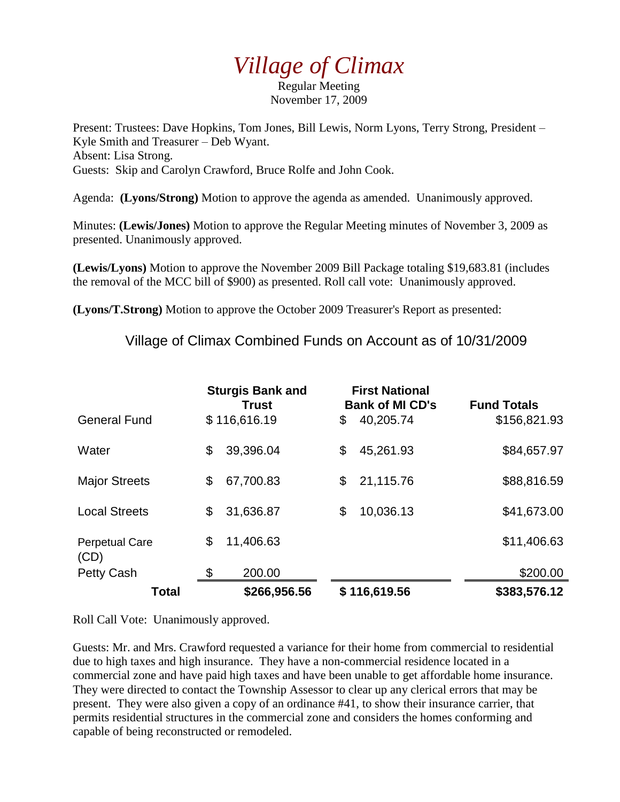## *Village of Climax*

Regular Meeting November 17, 2009

Present: Trustees: Dave Hopkins, Tom Jones, Bill Lewis, Norm Lyons, Terry Strong, President – Kyle Smith and Treasurer – Deb Wyant. Absent: Lisa Strong. Guests: Skip and Carolyn Crawford, Bruce Rolfe and John Cook.

Agenda: **(Lyons/Strong)** Motion to approve the agenda as amended. Unanimously approved.

Minutes: **(Lewis/Jones)** Motion to approve the Regular Meeting minutes of November 3, 2009 as presented. Unanimously approved.

**(Lewis/Lyons)** Motion to approve the November 2009 Bill Package totaling \$19,683.81 (includes the removal of the MCC bill of \$900) as presented. Roll call vote: Unanimously approved.

**(Lyons/T.Strong)** Motion to approve the October 2009 Treasurer's Report as presented:

Village of Climax Combined Funds on Account as of 10/31/2009

|                               | <b>Sturgis Bank and</b><br><b>Trust</b> |              | <b>First National</b><br><b>Bank of MI CD's</b> |              | <b>Fund Totals</b> |
|-------------------------------|-----------------------------------------|--------------|-------------------------------------------------|--------------|--------------------|
| <b>General Fund</b>           |                                         | \$116,616.19 | \$                                              | 40,205.74    | \$156,821.93       |
| Water                         | \$                                      | 39,396.04    | \$                                              | 45,261.93    | \$84,657.97        |
| <b>Major Streets</b>          | \$                                      | 67,700.83    | \$                                              | 21,115.76    | \$88,816.59        |
| <b>Local Streets</b>          | \$                                      | 31,636.87    | \$                                              | 10,036.13    | \$41,673.00        |
| <b>Perpetual Care</b><br>(CD) | \$                                      | 11,406.63    |                                                 |              | \$11,406.63        |
| <b>Petty Cash</b>             | \$                                      | 200.00       |                                                 |              | \$200.00           |
| Total                         |                                         | \$266,956.56 |                                                 | \$116,619.56 | \$383,576.12       |

Roll Call Vote: Unanimously approved.

Guests: Mr. and Mrs. Crawford requested a variance for their home from commercial to residential due to high taxes and high insurance. They have a non-commercial residence located in a commercial zone and have paid high taxes and have been unable to get affordable home insurance. They were directed to contact the Township Assessor to clear up any clerical errors that may be present. They were also given a copy of an ordinance #41, to show their insurance carrier, that permits residential structures in the commercial zone and considers the homes conforming and capable of being reconstructed or remodeled.